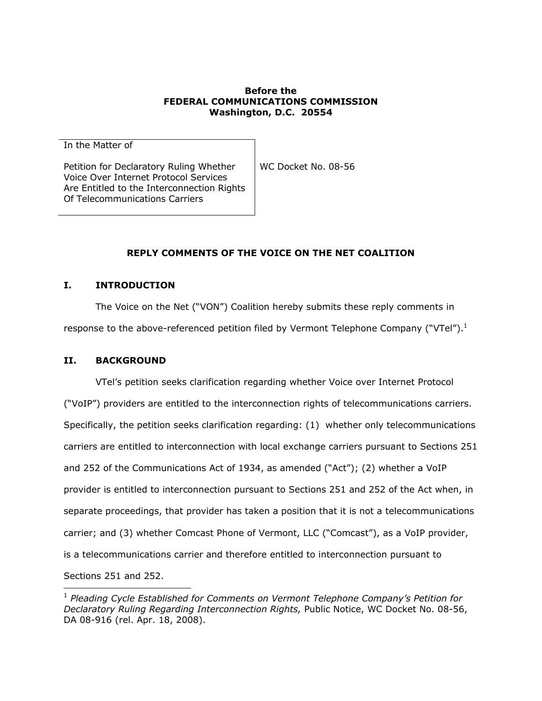#### **Before the FEDERAL COMMUNICATIONS COMMISSION Washington, D.C. 20554**

In the Matter of

Petition for Declaratory Ruling Whether Voice Over Internet Protocol Services Are Entitled to the Interconnection Rights Of Telecommunications Carriers

WC Docket No. 08-56

# **REPLY COMMENTS OF THE VOICE ON THE NET COALITION**

### **I. INTRODUCTION**

The Voice on the Net ("VON") Coalition hereby submits these reply comments in response to the above-referenced petition filed by Vermont Telephone Company ("VTel").<sup>1</sup>

### **II. BACKGROUND**

1

VTel's petition seeks clarification regarding whether Voice over Internet Protocol ("VoIP") providers are entitled to the interconnection rights of telecommunications carriers. Specifically, the petition seeks clarification regarding: (1) whether only telecommunications carriers are entitled to interconnection with local exchange carriers pursuant to Sections 251 and 252 of the Communications Act of 1934, as amended ("Act"); (2) whether a VoIP provider is entitled to interconnection pursuant to Sections 251 and 252 of the Act when, in separate proceedings, that provider has taken a position that it is not a telecommunications carrier; and (3) whether Comcast Phone of Vermont, LLC ("Comcast"), as a VoIP provider, is a telecommunications carrier and therefore entitled to interconnection pursuant to Sections 251 and 252.

<sup>1</sup> *Pleading Cycle Established for Comments on Vermont Telephone Company's Petition for Declaratory Ruling Regarding Interconnection Rights,* Public Notice, WC Docket No. 08-56, DA 08-916 (rel. Apr. 18, 2008).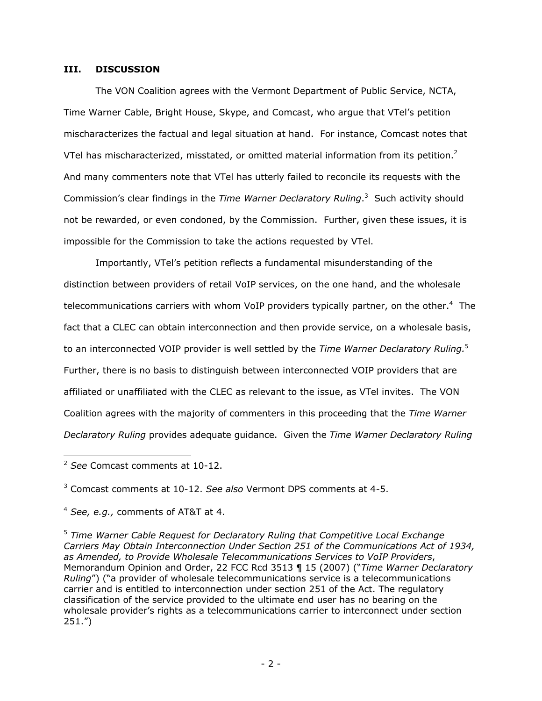#### **III. DISCUSSION**

The VON Coalition agrees with the Vermont Department of Public Service, NCTA, Time Warner Cable, Bright House, Skype, and Comcast, who argue that VTel's petition mischaracterizes the factual and legal situation at hand. For instance, Comcast notes that VTel has mischaracterized, misstated, or omitted material information from its petition.<sup>2</sup> And many commenters note that VTel has utterly failed to reconcile its requests with the Commission's clear findings in the *Time Warner Declaratory Ruling*. 3 Such activity should not be rewarded, or even condoned, by the Commission. Further, given these issues, it is impossible for the Commission to take the actions requested by VTel.

Importantly, VTel's petition reflects a fundamental misunderstanding of the distinction between providers of retail VoIP services, on the one hand, and the wholesale telecommunications carriers with whom VoIP providers typically partner, on the other.<sup>4</sup> The fact that a CLEC can obtain interconnection and then provide service, on a wholesale basis, to an interconnected VOIP provider is well settled by the *Time Warner Declaratory Ruling.*<sup>5</sup> Further, there is no basis to distinguish between interconnected VOIP providers that are affiliated or unaffiliated with the CLEC as relevant to the issue, as VTel invites. The VON Coalition agrees with the majority of commenters in this proceeding that the *Time Warner Declaratory Ruling* provides adequate guidance. Given the *Time Warner Declaratory Ruling*

1

3 Comcast comments at 10-12. *See also* Vermont DPS comments at 4-5.

<sup>5</sup> *Time Warner Cable Request for Declaratory Ruling that Competitive Local Exchange Carriers May Obtain Interconnection Under Section 251 of the Communications Act of 1934, as Amended, to Provide Wholesale Telecommunications Services to VoIP Providers*, Memorandum Opinion and Order, 22 FCC Rcd 3513 ¶ 15 (2007) ("*Time Warner Declaratory Ruling*") ("a provider of wholesale telecommunications service is a telecommunications carrier and is entitled to interconnection under section 251 of the Act. The regulatory classification of the service provided to the ultimate end user has no bearing on the wholesale provider's rights as a telecommunications carrier to interconnect under section 251.")

<sup>2</sup> *See* Comcast comments at 10-12.

<sup>4</sup>  *See, e.g.,* comments of AT&T at 4.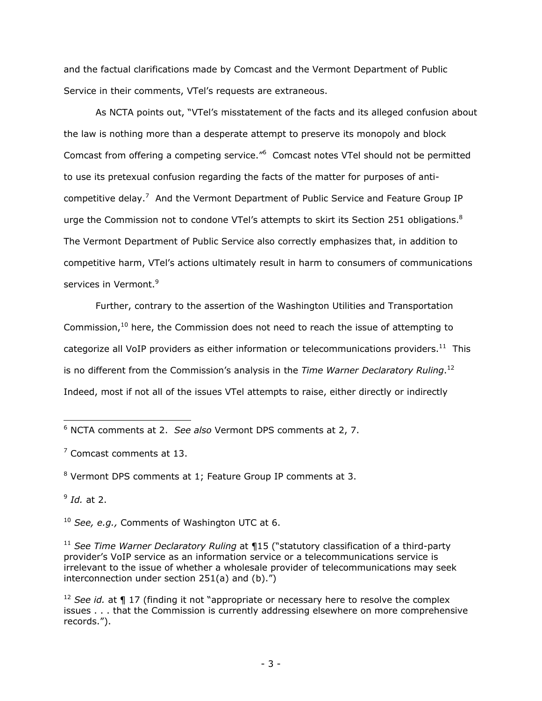and the factual clarifications made by Comcast and the Vermont Department of Public Service in their comments, VTel's requests are extraneous.

As NCTA points out, "VTel's misstatement of the facts and its alleged confusion about the law is nothing more than a desperate attempt to preserve its monopoly and block Comcast from offering a competing service.<sup>"6</sup> Comcast notes VTel should not be permitted to use its pretexual confusion regarding the facts of the matter for purposes of anticompetitive delay.<sup>7</sup> And the Vermont Department of Public Service and Feature Group IP urge the Commission not to condone VTel's attempts to skirt its Section 251 obligations.<sup>8</sup> The Vermont Department of Public Service also correctly emphasizes that, in addition to competitive harm, VTel's actions ultimately result in harm to consumers of communications services in Vermont.<sup>9</sup>

Further, contrary to the assertion of the Washington Utilities and Transportation Commission, $10$  here, the Commission does not need to reach the issue of attempting to categorize all VoIP providers as either information or telecommunications providers.<sup>11</sup> This is no different from the Commission's analysis in the *Time Warner Declaratory Ruling*. 12 Indeed, most if not all of the issues VTel attempts to raise, either directly or indirectly

 $9$  *Id.* at 2.

 6 NCTA comments at 2. *See also* Vermont DPS comments at 2, 7.

<sup>&</sup>lt;sup>7</sup> Comcast comments at 13.

<sup>&</sup>lt;sup>8</sup> Vermont DPS comments at 1; Feature Group IP comments at 3.

<sup>10</sup> *See, e.g.,* Comments of Washington UTC at 6.

<sup>&</sup>lt;sup>11</sup> See Time Warner Declaratory Ruling at ¶15 ("statutory classification of a third-party provider's VoIP service as an information service or a telecommunications service is irrelevant to the issue of whether a wholesale provider of telecommunications may seek interconnection under section 251(a) and (b).")

<sup>&</sup>lt;sup>12</sup> See id. at **¶** 17 (finding it not "appropriate or necessary here to resolve the complex issues . . . that the Commission is currently addressing elsewhere on more comprehensive records.").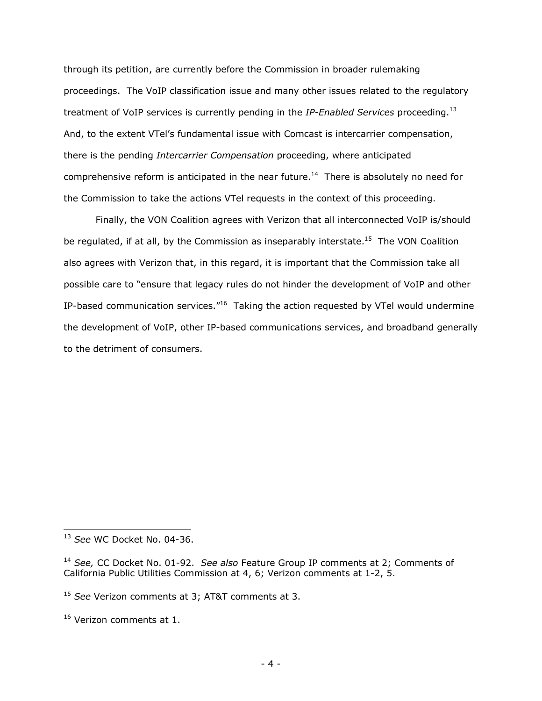through its petition, are currently before the Commission in broader rulemaking proceedings. The VoIP classification issue and many other issues related to the regulatory treatment of VoIP services is currently pending in the *IP-Enabled Services* proceeding.13 And, to the extent VTel's fundamental issue with Comcast is intercarrier compensation, there is the pending *Intercarrier Compensation* proceeding, where anticipated comprehensive reform is anticipated in the near future.<sup>14</sup> There is absolutely no need for the Commission to take the actions VTel requests in the context of this proceeding.

Finally, the VON Coalition agrees with Verizon that all interconnected VoIP is/should be regulated, if at all, by the Commission as inseparably interstate.<sup>15</sup> The VON Coalition also agrees with Verizon that, in this regard, it is important that the Commission take all possible care to "ensure that legacy rules do not hinder the development of VoIP and other IP-based communication services."16 Taking the action requested by VTel would undermine the development of VoIP, other IP-based communications services, and broadband generally to the detriment of consumers.

1

<sup>13</sup> *See* WC Docket No. 04-36.

<sup>14</sup> *See,* CC Docket No. 01-92. *See also* Feature Group IP comments at 2; Comments of California Public Utilities Commission at 4, 6; Verizon comments at 1-2, 5.

<sup>15</sup> *See* Verizon comments at 3; AT&T comments at 3.

<sup>&</sup>lt;sup>16</sup> Verizon comments at 1.